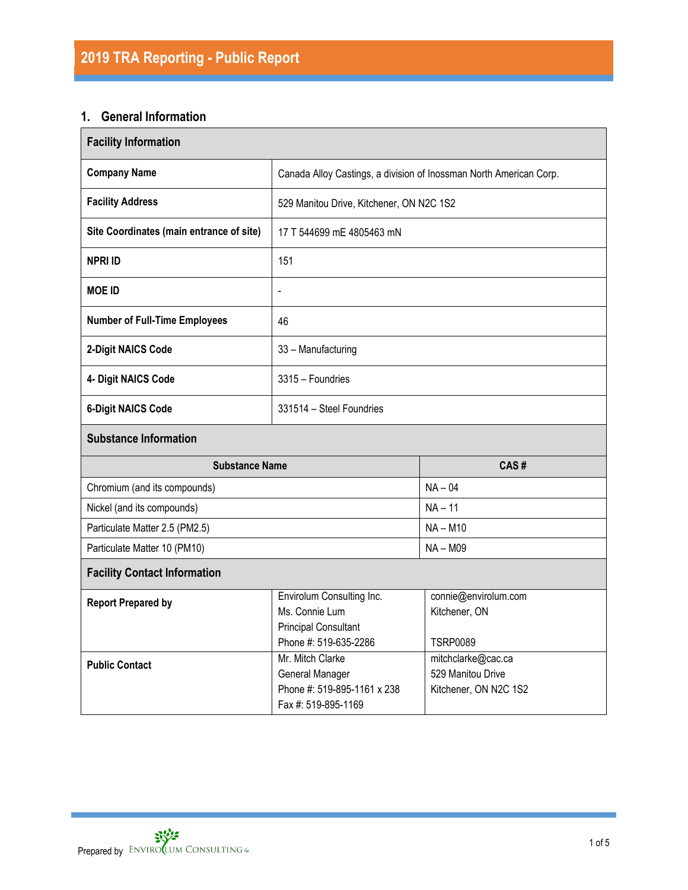# **1. General Information**

| <b>Facility Information</b>              |                                                                                                     |                                                                  |  |  |  |
|------------------------------------------|-----------------------------------------------------------------------------------------------------|------------------------------------------------------------------|--|--|--|
| <b>Company Name</b>                      | Canada Alloy Castings, a division of Inossman North American Corp.                                  |                                                                  |  |  |  |
| <b>Facility Address</b>                  | 529 Manitou Drive, Kitchener, ON N2C 1S2                                                            |                                                                  |  |  |  |
| Site Coordinates (main entrance of site) | 17 T 544699 mE 4805463 mN                                                                           |                                                                  |  |  |  |
| <b>NPRI ID</b>                           | 151                                                                                                 |                                                                  |  |  |  |
| <b>MOE ID</b>                            | $\blacksquare$                                                                                      |                                                                  |  |  |  |
| <b>Number of Full-Time Employees</b>     | 46                                                                                                  |                                                                  |  |  |  |
| 2-Digit NAICS Code                       | 33 - Manufacturing                                                                                  |                                                                  |  |  |  |
| 4- Digit NAICS Code                      | 3315 - Foundries                                                                                    |                                                                  |  |  |  |
| <b>6-Digit NAICS Code</b>                | 331514 - Steel Foundries                                                                            |                                                                  |  |  |  |
| <b>Substance Information</b>             |                                                                                                     |                                                                  |  |  |  |
| <b>Substance Name</b>                    |                                                                                                     | CAS#                                                             |  |  |  |
| Chromium (and its compounds)             |                                                                                                     | $NA - 04$                                                        |  |  |  |
| Nickel (and its compounds)               |                                                                                                     | $NA - 11$                                                        |  |  |  |
| Particulate Matter 2.5 (PM2.5)           |                                                                                                     | $NA - M10$                                                       |  |  |  |
| Particulate Matter 10 (PM10)             | $NA - M09$                                                                                          |                                                                  |  |  |  |
| <b>Facility Contact Information</b>      |                                                                                                     |                                                                  |  |  |  |
| <b>Report Prepared by</b>                | Envirolum Consulting Inc.<br>Ms. Connie Lum<br><b>Principal Consultant</b><br>Phone #: 519-635-2286 | connie@envirolum.com<br>Kitchener, ON<br><b>TSRP0089</b>         |  |  |  |
| <b>Public Contact</b>                    | Mr. Mitch Clarke<br>General Manager<br>Phone #: 519-895-1161 x 238<br>Fax #: 519-895-1169           | mitchclarke@cac.ca<br>529 Manitou Drive<br>Kitchener, ON N2C 1S2 |  |  |  |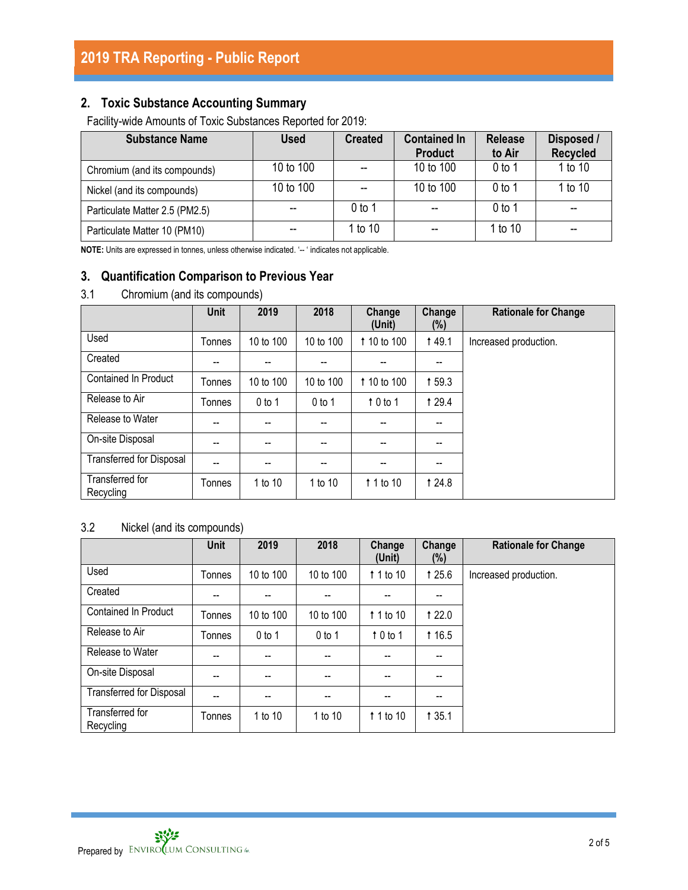## **2. Toxic Substance Accounting Summary**

Facility-wide Amounts of Toxic Substances Reported for 2019:

| <b>Substance Name</b>          | <b>Used</b> | <b>Created</b> | <b>Contained In</b><br><b>Product</b> | <b>Release</b><br>to Air | Disposed /<br><b>Recycled</b> |
|--------------------------------|-------------|----------------|---------------------------------------|--------------------------|-------------------------------|
| Chromium (and its compounds)   | 10 to 100   |                | 10 to 100                             | $0$ to 1                 | 1 to 10                       |
| Nickel (and its compounds)     | 10 to 100   |                | 10 to 100                             | $0$ to 1                 | 1 to 10                       |
| Particulate Matter 2.5 (PM2.5) |             | 0 to 1         | $-$                                   | $0$ to 1                 | --                            |
| Particulate Matter 10 (PM10)   |             | 1 to 10        | $-$                                   | 1 to 10                  | --                            |

**NOTE:** Units are expressed in tonnes, unless otherwise indicated. '-- ' indicates not applicable.

## **3. Quantification Comparison to Previous Year**

### 3.1 Chromium (and its compounds)

|                                 | <b>Unit</b>    | 2019      | 2018      | Change<br>(Unit) | Change<br>$(\%)$ | <b>Rationale for Change</b> |
|---------------------------------|----------------|-----------|-----------|------------------|------------------|-----------------------------|
| Used                            | Tonnes         | 10 to 100 | 10 to 100 | 1 10 to 100      | <b>149.1</b>     | Increased production.       |
| Created                         |                | --        |           | --               | --               |                             |
| <b>Contained In Product</b>     | Tonnes         | 10 to 100 | 10 to 100 | 1 10 to 100      | 159.3            |                             |
| Release to Air                  | Tonnes         | $0$ to 1  | $0$ to 1  | 10 to 1          | <b>129.4</b>     |                             |
| Release to Water                | --             | --        | --        | --               | --               |                             |
| On-site Disposal                |                | --        |           | --               | --               |                             |
| <b>Transferred for Disposal</b> | $\overline{a}$ | --        | --        | --               | --               |                             |
| Transferred for<br>Recycling    | Tonnes         | 1 to 10   | 1 to 10   | 1 1 to 10        | 1 24.8           |                             |

## 3.2 Nickel (and its compounds)

|                                 | <b>Unit</b> | 2019      | 2018      | Change<br>(Unit) | Change<br>$(\%)$ | <b>Rationale for Change</b> |
|---------------------------------|-------------|-----------|-----------|------------------|------------------|-----------------------------|
| Used                            | Tonnes      | 10 to 100 | 10 to 100 | 1 1 to 10        | 1 25.6           | Increased production.       |
| Created                         |             |           |           |                  |                  |                             |
| <b>Contained In Product</b>     | Tonnes      | 10 to 100 | 10 to 100 | 1 1 to 10        | <b>t</b> 22.0    |                             |
| Release to Air                  | Tonnes      | $0$ to 1  | $0$ to 1  | 10 to 1          | <b>t</b> 16.5    |                             |
| Release to Water                | --          | --        | --        | --               | --               |                             |
| On-site Disposal                | --          | --        | --        | --               | --               |                             |
| <b>Transferred for Disposal</b> |             | --        | --        |                  |                  |                             |
| Transferred for<br>Recycling    | Tonnes      | 1 to 10   | 1 to 10   | 1 1 to 10        | <b>135.1</b>     |                             |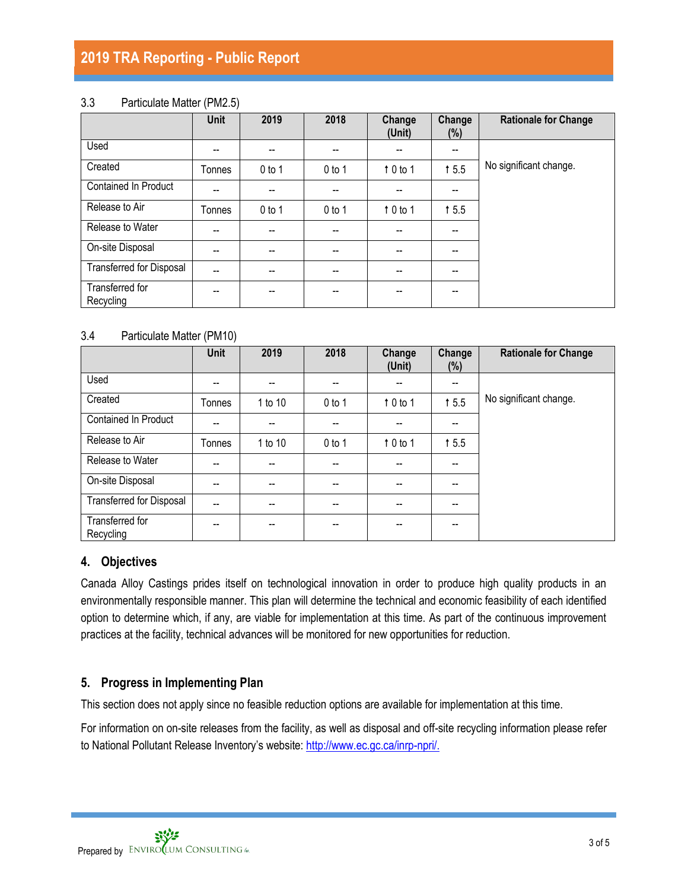# **2019 TRA Reporting - Public Report**

#### 3.3 Particulate Matter (PM2.5)

|                                 | <b>Unit</b>    | 2019     | 2018     | Change<br>(Unit)         | Change<br>$(\%)$                      | <b>Rationale for Change</b> |
|---------------------------------|----------------|----------|----------|--------------------------|---------------------------------------|-----------------------------|
| Used                            | --             | --       | --       | $-$                      | $\overline{\phantom{a}}$              |                             |
| Created                         | Tonnes         | $0$ to 1 | $0$ to 1 | 10 to 1                  | 15.5                                  | No significant change.      |
| <b>Contained In Product</b>     | --             | --       |          | --                       | $- -$                                 |                             |
| Release to Air                  | Tonnes         | $0$ to 1 | $0$ to 1 | 10 to 1                  | 15.5                                  |                             |
| Release to Water                | $-$            | $- -$    | --       | $\overline{\phantom{a}}$ | $\overline{\phantom{a}}$              |                             |
| On-site Disposal                | --             | --       |          | $- -$                    | $- -$                                 |                             |
| <b>Transferred for Disposal</b> | $\overline{a}$ | --       | --       | $-$                      | $-$                                   |                             |
| Transferred for<br>Recycling    | --             | --       | --       | $- -$                    | $\hspace{0.05cm}$ – $\hspace{0.05cm}$ |                             |

#### 3.4 Particulate Matter (PM10)

|                              | Unit   | 2019                     | 2018                     | Change<br>(Unit)         | Change<br>$(\%)$                      | <b>Rationale for Change</b> |
|------------------------------|--------|--------------------------|--------------------------|--------------------------|---------------------------------------|-----------------------------|
| Used                         | --     | $-$                      | $\hspace{0.05cm}$        | $\overline{\phantom{a}}$ | $\overline{\phantom{a}}$              |                             |
| Created                      | Tonnes | 1 to 10                  | $0$ to 1                 | 10 to 1                  | 15.5                                  | No significant change.      |
| <b>Contained In Product</b>  | --     | --                       | --                       | --                       | $\hspace{0.05cm}$ – $\hspace{0.05cm}$ |                             |
| Release to Air               | Tonnes | 1 to 10                  | $0$ to 1                 | $\uparrow$ 0 to 1        | 15.5                                  |                             |
| Release to Water             | --     | $-$                      |                          | $\overline{\phantom{a}}$ | $-$                                   |                             |
| On-site Disposal             | --     | $\overline{\phantom{a}}$ | $\overline{\phantom{a}}$ | $\overline{\phantom{a}}$ | $\overline{\phantom{a}}$              |                             |
| Transferred for Disposal     | --     | $- -$                    |                          | $- -$                    | --                                    |                             |
| Transferred for<br>Recycling | --     | --                       |                          | --                       | --                                    |                             |

#### **4. Objectives**

Canada Alloy Castings prides itself on technological innovation in order to produce high quality products in an environmentally responsible manner. This plan will determine the technical and economic feasibility of each identified option to determine which, if any, are viable for implementation at this time. As part of the continuous improvement practices at the facility, technical advances will be monitored for new opportunities for reduction.

### **5. Progress in Implementing Plan**

This section does not apply since no feasible reduction options are available for implementation at this time.

For information on on-site releases from the facility, as well as disposal and off-site recycling information please refer to National Pollutant Release Inventory's website: [http://www.ec.gc.ca/inrp-npri/.](http://www.ec.gc.ca/inrp-npri/)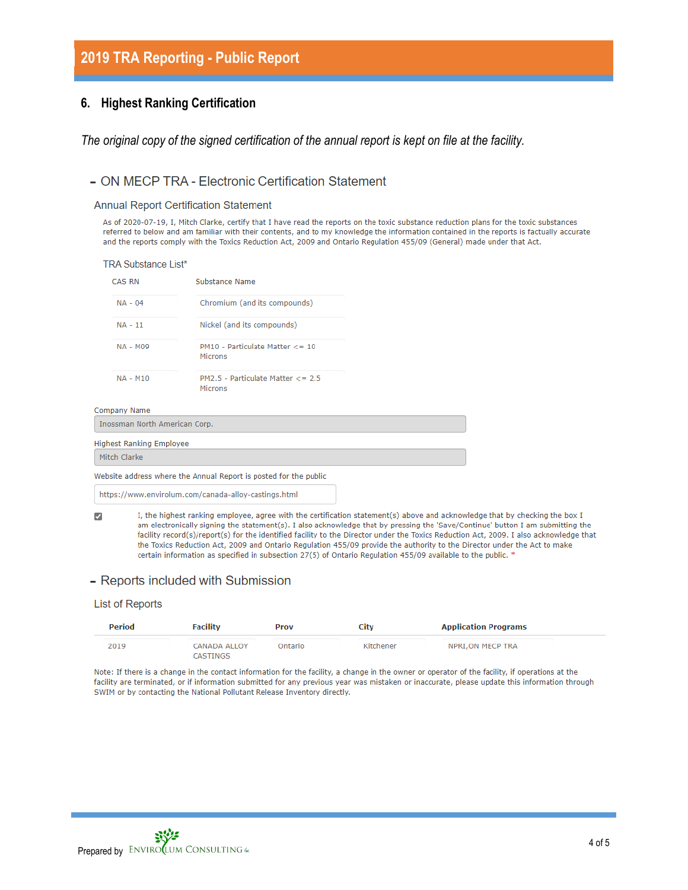# **2019 TRA Reporting - Public Report**

#### **6. Highest Ranking Certification**

*The original copy of the signed certification of the annual report is kept on file at the facility.*

#### - ON MECP TRA - Electronic Certification Statement

**Annual Report Certification Statement** 

As of 2020-07-19, I, Mitch Clarke, certify that I have read the reports on the toxic substance reduction plans for the toxic substances referred to below and am familiar with their contents, and to my knowledge the information contained in the reports is factually accurate and the reports comply with the Toxics Reduction Act, 2009 and Ontario Regulation 455/09 (General) made under that Act.

| <b>TRA Substance List*</b>    |                                                     |  |
|-------------------------------|-----------------------------------------------------|--|
| <b>CAS RN</b>                 | Substance Name                                      |  |
| $NA - 04$                     | Chromium (and its compounds)                        |  |
| $NA - 11$                     | Nickel (and its compounds)                          |  |
| <b>NA - M09</b>               | PM10 - Particulate Matter <= 10<br>Microns          |  |
| <b>NA - M10</b>               | $PM2.5$ - Particulate Matter $\lt$ = 2.5<br>Microns |  |
| <b>Company Name</b>           |                                                     |  |
| Inossman North American Corp. |                                                     |  |
| lighest Ranking Employee      |                                                     |  |
| Mitch Clarke                  |                                                     |  |

Website address where the Annual Report is posted for the public

https://www.envirolum.com/canada-alloy-castings.html

I, the highest ranking employee, agree with the certification statement(s) above and acknowledge that by checking the box I  $\overline{\mathcal{L}}$ am electronically signing the statement(s). I also acknowledge that by pressing the 'Save/Continue' button I am submitting the facility record(s)/report(s) for the identified facility to the Director under the Toxics Reduction Act, 2009. I also acknowledge that the Toxics Reduction Act, 2009 and Ontario Regulation 455/09 provide the authority to the Director under the Act to make certain information as specified in subsection 27(5) of Ontario Regulation 455/09 available to the public. \*

#### - Reports included with Submission

#### **List of Reports**

 $\epsilon$ 

| Period | <b>Facility</b>          | <b>Prov</b> | City      | <b>Application Programs</b> |
|--------|--------------------------|-------------|-----------|-----------------------------|
| 2019   | CANADA ALLOY<br>CASTINGS | Ontario     | Kitchener | NPRI, ON MECP TRA           |

Note: If there is a change in the contact information for the facility, a change in the owner or operator of the facility, if operations at the facility are terminated, or if information submitted for any previous year was mistaken or inaccurate, please update this information through SWIM or by contacting the National Pollutant Release Inventory directly.